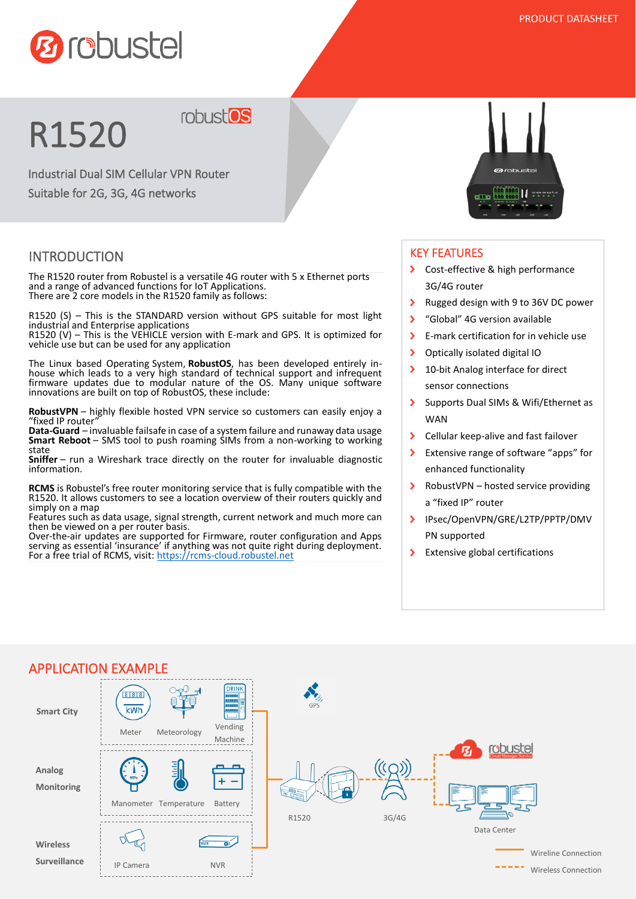

# R1520

Industrial Dual SIM Cellular VPN Router

Suitable for 2G, 3G, 4G networks

### INTRODUCTION

The R1520 router from Robustel is a versatile 4G router with 5 x Ethernet ports and a range of advanced functions for IoT Applications. There are 2 core models in the R1520 family as follows:

robust<sup>os</sup>

R1520 (S) – This is the STANDARD version without GPS suitable for most light industrial and Enterprise applications

R1520 (V) – This is the VEHICLE version with E-mark and GPS. It is optimized for vehicle use but can be used for any application

The Linux based Operating System, **RobustOS**, has been developed entirely inhouse which leads to a very high standard of technical support and infrequent firmware updates due to modular nature of the OS. Many unique software innovations are built on top of RobustOS, these include:

**RobustVPN** – highly flexible hosted VPN service so customers can easily enjoy a "fixed IP router"

**Data-Guard** – invaluable failsafe in case of a system failure and runaway data usage **Smart Reboot** – SMS tool to push roaming SIMs from a non-working to working state

**Sniffer** – run a Wireshark trace directly on the router for invaluable diagnostic information.

**RCMS** is Robustel's free router monitoring service that is fully compatible with the R1520. It allows customers to see a location overview of their routers quickly and simply on a map

Features such as data usage, signal strength, current network and much more can then be viewed on a per router basis.

Over-the-air updates are supported for Firmware, router configuration and Apps serving as essential 'insurance' if anything was not quite right during deployment. For a free trial of RCMS, visit: [https://rcms-cloud.robustel.net](https://rcms-cloud.robustel.net/)



#### KEY FEATURES

- Cost-effective & high performance 3G/4G router
- $\mathbf{\Sigma}$ Rugged design with 9 to 36V DC power
- $\overline{\phantom{a}}$ "Global" 4G version available
- $\overline{\phantom{a}}$ E-mark certification for in vehicle use
- $\overline{\phantom{a}}$ Optically isolated digital IO
- $\overline{\phantom{a}}$ 10-bit Analog interface for direct sensor connections
- Supports Dual SIMs & Wifi/Ethernet as  $\overline{\phantom{0}}$ **WAN**
- $\overline{\phantom{0}}$ Cellular keep-alive and fast failover
- $\overline{\phantom{a}}$ Extensive range of software "apps" for enhanced functionality
- $\overline{\phantom{0}}$ RobustVPN – hosted service providing a "fixed IP" router
- IPsec/OpenVPN/GRE/L2TP/PPTP/DMV  $\overline{\phantom{0}}$ PN supported
- $\blacktriangleright$ Extensive global certifications